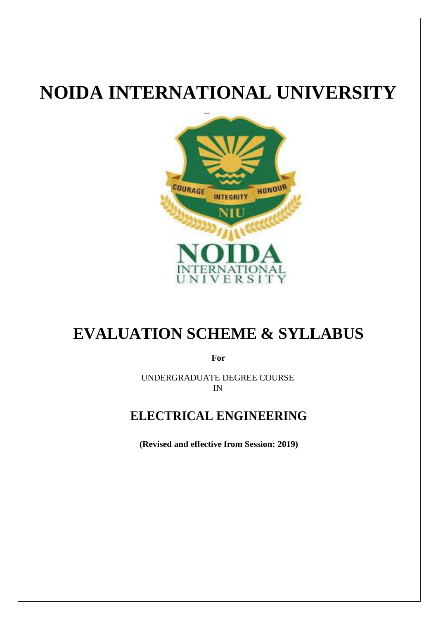# **NOIDA INTERNATIONAL UNIVERSITY**



# **EVALUATION SCHEME & SYLLABUS**

**For**

UNDERGRADUATE DEGREE COURSE IN

### **ELECTRICAL ENGINEERING**

**(Revised and effective from Session: 2019)**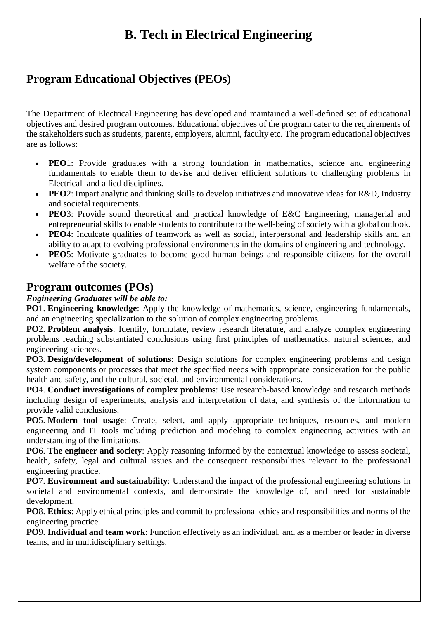## **B. Tech in Electrical Engineering**

### **Program Educational Objectives (PEOs)**

The Department of Electrical Engineering has developed and maintained a well-defined set of educational objectives and desired program outcomes. Educational objectives of the program cater to the requirements of the stakeholders such as students, parents, employers, alumni, faculty etc. The program educational objectives are as follows:

- **PEO**1: Provide graduates with a strong foundation in mathematics, science and engineering fundamentals to enable them to devise and deliver efficient solutions to challenging problems in Electrical and allied disciplines.
- **PEO**2: Impart analytic and thinking skills to develop initiatives and innovative ideas for R&D, Industry and societal requirements.
- **PEO**3: Provide sound theoretical and practical knowledge of E&C Engineering, managerial and entrepreneurial skills to enable students to contribute to the well-being of society with a global outlook.
- **PEO**4: Inculcate qualities of teamwork as well as social, interpersonal and leadership skills and an ability to adapt to evolving professional environments in the domains of engineering and technology.
- **PEO**5: Motivate graduates to become good human beings and responsible citizens for the overall welfare of the society.

### **Program outcomes (POs)**

#### *Engineering Graduates will be able to:*

**PO**1. **Engineering knowledge**: Apply the knowledge of mathematics, science, engineering fundamentals, and an engineering specialization to the solution of complex engineering problems.

**PO**2. **Problem analysis**: Identify, formulate, review research literature, and analyze complex engineering problems reaching substantiated conclusions using first principles of mathematics, natural sciences, and engineering sciences.

**PO**3. **Design/development of solutions**: Design solutions for complex engineering problems and design system components or processes that meet the specified needs with appropriate consideration for the public health and safety, and the cultural, societal, and environmental considerations.

**PO**4. **Conduct investigations of complex problems**: Use research-based knowledge and research methods including design of experiments, analysis and interpretation of data, and synthesis of the information to provide valid conclusions.

**PO**5. **Modern tool usage**: Create, select, and apply appropriate techniques, resources, and modern engineering and IT tools including prediction and modeling to complex engineering activities with an understanding of the limitations.

**PO**6. **The engineer and society**: Apply reasoning informed by the contextual knowledge to assess societal, health, safety, legal and cultural issues and the consequent responsibilities relevant to the professional engineering practice.

**PO**7. **Environment and sustainability**: Understand the impact of the professional engineering solutions in societal and environmental contexts, and demonstrate the knowledge of, and need for sustainable development.

**PO**8. **Ethics**: Apply ethical principles and commit to professional ethics and responsibilities and norms of the engineering practice.

**PO**9. **Individual and team work**: Function effectively as an individual, and as a member or leader in diverse teams, and in multidisciplinary settings.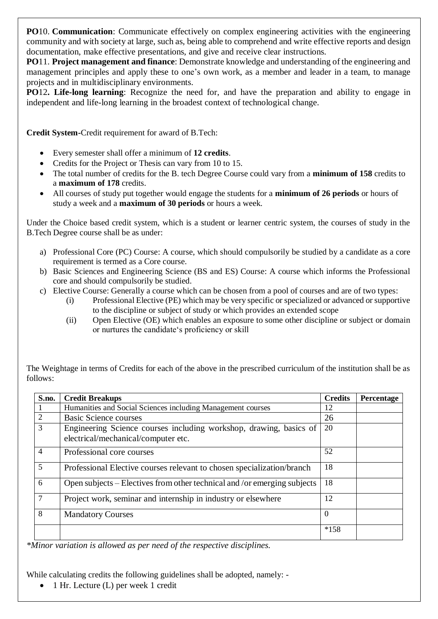**PO**10. **Communication**: Communicate effectively on complex engineering activities with the engineering community and with society at large, such as, being able to comprehend and write effective reports and design documentation, make effective presentations, and give and receive clear instructions.

**PO**11. **Project management and finance**: Demonstrate knowledge and understanding of the engineering and management principles and apply these to one's own work, as a member and leader in a team, to manage projects and in multidisciplinary environments.

**PO**12**. Life-long learning**: Recognize the need for, and have the preparation and ability to engage in independent and life-long learning in the broadest context of technological change.

**Credit System-**Credit requirement for award of B.Tech:

- Every semester shall offer a minimum of **12 credits**.
- Credits for the Project or Thesis can vary from 10 to 15.
- The total number of credits for the B. tech Degree Course could vary from a **minimum of 158** credits to a **maximum of 178** credits.
- All courses of study put together would engage the students for a **minimum of 26 periods** or hours of study a week and a **maximum of 30 periods** or hours a week.

Under the Choice based credit system, which is a student or learner centric system, the courses of study in the B.Tech Degree course shall be as under:

- a) Professional Core (PC) Course: A course, which should compulsorily be studied by a candidate as a core requirement is termed as a Core course.
- b) Basic Sciences and Engineering Science (BS and ES) Course: A course which informs the Professional core and should compulsorily be studied.
- c) Elective Course: Generally a course which can be chosen from a pool of courses and are of two types:
	- (i) Professional Elective (PE) which may be very specific or specialized or advanced or supportive to the discipline or subject of study or which provides an extended scope
	- (ii) Open Elective (OE) which enables an exposure to some other discipline or subject or domain or nurtures the candidate's proficiency or skill

The Weightage in terms of Credits for each of the above in the prescribed curriculum of the institution shall be as follows:

| S.no.          | <b>Credit Breakups</b>                                                                                    | <b>Credits</b> | Percentage |
|----------------|-----------------------------------------------------------------------------------------------------------|----------------|------------|
|                | Humanities and Social Sciences including Management courses                                               | 12             |            |
| 2              | <b>Basic Science courses</b>                                                                              | 26             |            |
| $\overline{3}$ | Engineering Science courses including workshop, drawing, basics of<br>electrical/mechanical/computer etc. | 20             |            |
| $\overline{4}$ | Professional core courses                                                                                 | 52             |            |
| 5              | Professional Elective courses relevant to chosen specialization/branch                                    | 18             |            |
| 6              | Open subjects – Electives from other technical and /or emerging subjects                                  | 18             |            |
|                | Project work, seminar and internship in industry or elsewhere                                             | 12             |            |
| 8              | <b>Mandatory Courses</b>                                                                                  | $\Omega$       |            |
|                |                                                                                                           | $*158$         |            |

*\*Minor variation is allowed as per need of the respective disciplines.*

While calculating credits the following guidelines shall be adopted, namely: -

1 Hr. Lecture (L) per week 1 credit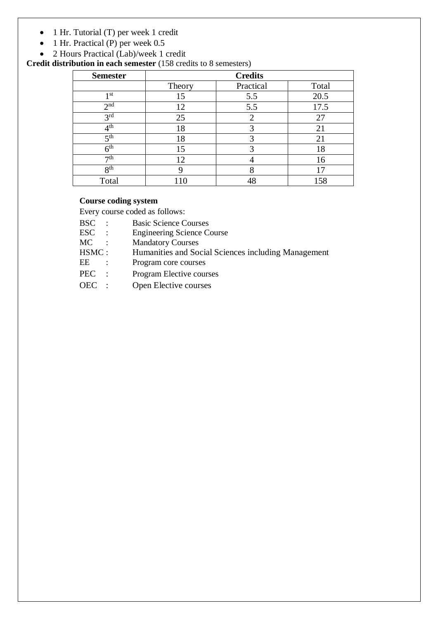- 1 Hr. Tutorial (T) per week 1 credit
- 1 Hr. Practical (P) per week 0.5
- 2 Hours Practical (Lab)/week 1 credit

**Credit distribution in each semester** (158 credits to 8 semesters)

| <b>Semester</b> | <b>Credits</b> |                             |       |  |  |  |
|-----------------|----------------|-----------------------------|-------|--|--|--|
|                 | Theory         | Practical                   | Total |  |  |  |
| 1 st            | 15             | 5.5                         | 20.5  |  |  |  |
| 2 <sub>nd</sub> | 12             | 5.5                         | 17.5  |  |  |  |
| 3 <sup>rd</sup> | 25             | $\mathcal{D}_{\mathcal{L}}$ | 27    |  |  |  |
| 4 <sup>th</sup> | 18             | 3                           | 21    |  |  |  |
| 5 <sup>th</sup> | 18             | 3                           | 21    |  |  |  |
| 6 <sup>th</sup> | 15             | 3                           | 18    |  |  |  |
| 7 <sup>th</sup> | 12             |                             | 16    |  |  |  |
| 8 <sup>th</sup> | 9              | 8                           | 17    |  |  |  |
| Total           | 110            |                             | 158   |  |  |  |

#### **Course coding system**

Every course coded as follows:

- BSC : Basic Science Courses
- ESC : Engineering Science Course
- MC : Mandatory Courses
- HSMC : Humanities and Social Sciences including Management
- EE : Program core courses
- PEC : Program Elective courses
- OEC : Open Elective courses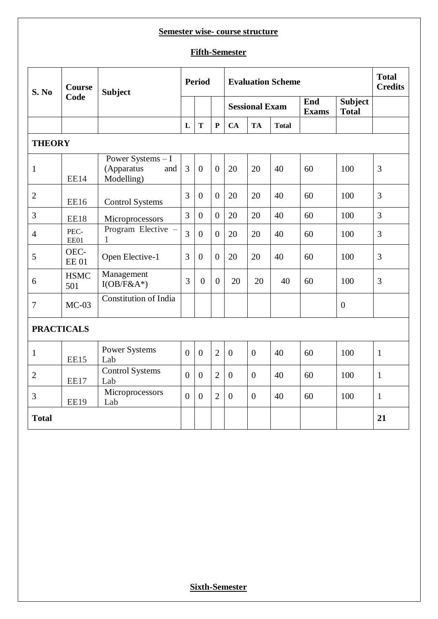#### **Semester wise- course structure**

#### **Fifth-Semester**

| S. No             | <b>Course</b><br>Code | <b>Subject</b>                                       |                | <b>Period</b>    |                  |                | <b>Evaluation Scheme</b> |              |                     |                                |                |
|-------------------|-----------------------|------------------------------------------------------|----------------|------------------|------------------|----------------|--------------------------|--------------|---------------------|--------------------------------|----------------|
|                   |                       |                                                      |                |                  |                  |                | <b>Sessional Exam</b>    |              | End<br><b>Exams</b> | <b>Subject</b><br><b>Total</b> |                |
|                   |                       |                                                      | L              | T                | $\mathbf P$      | <b>CA</b>      | <b>TA</b>                | <b>Total</b> |                     |                                |                |
| <b>THEORY</b>     |                       |                                                      |                |                  |                  |                |                          |              |                     |                                |                |
| $\mathbf{1}$      | <b>EE14</b>           | Power Systems - I<br>(Apparatus<br>and<br>Modelling) | 3              | $\overline{0}$   | $\boldsymbol{0}$ | 20             | 20                       | 40           | 60                  | 100                            | 3              |
| $\overline{2}$    | EE16                  | <b>Control Systems</b>                               | 3              | $\overline{0}$   | $\overline{0}$   | 20             | 20                       | 40           | 60                  | 100                            | 3              |
| 3                 | EE18                  | Microprocessors                                      | 3              | $\overline{0}$   | $\overline{0}$   | 20             | 20                       | 40           | 60                  | 100                            | $\overline{3}$ |
| $\overline{4}$    | PEC-<br>EE01          | Program Elective -<br>$\mathbf{1}$                   | 3              | $\overline{0}$   | $\overline{0}$   | 20             | 20                       | 40           | 60                  | 100                            | $\overline{3}$ |
| 5                 | OEC-<br><b>EE 01</b>  | Open Elective-1                                      | 3              | $\overline{0}$   | $\overline{0}$   | 20             | 20                       | 40           | 60                  | 100                            | $\overline{3}$ |
| 6                 | <b>HSMC</b><br>501    | Management<br>$I(OB/F&A^*)$                          | 3              | $\overline{0}$   | $\overline{0}$   | 20             | 20                       | 40           | 60                  | 100                            | 3              |
| 7                 | $MC-03$               | <b>Constitution of India</b>                         |                |                  |                  |                |                          |              |                     | $\overline{0}$                 |                |
| <b>PRACTICALS</b> |                       |                                                      |                |                  |                  |                |                          |              |                     |                                |                |
| $\mathbf{1}$      | <b>EE15</b>           | <b>Power Systems</b><br>Lab                          | $\overline{0}$ | $\overline{0}$   | $\overline{2}$   | $\overline{0}$ | $\overline{0}$           | 40           | 60                  | 100                            | $\mathbf{1}$   |
| $\overline{2}$    | EE17                  | <b>Control Systems</b><br>Lab                        | $\overline{0}$ | $\overline{0}$   | $\overline{2}$   | $\overline{0}$ | $\overline{0}$           | 40           | 60                  | 100                            | $\mathbf{1}$   |
| 3                 | <b>EE19</b>           | Microprocessors<br>Lab                               | $\overline{0}$ | $\boldsymbol{0}$ | $\overline{2}$   | $\overline{0}$ | $\overline{0}$           | 40           | 60                  | 100                            | $\mathbf{1}$   |
| <b>Total</b>      |                       |                                                      |                |                  |                  |                |                          |              |                     |                                | 21             |

**Sixth-Semester**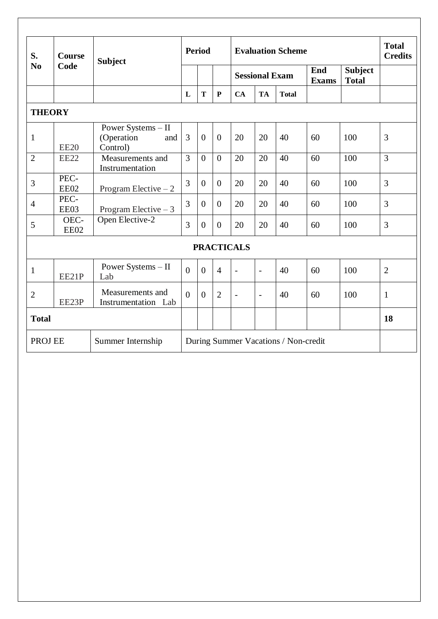| S.                           | <b>Course</b> | <b>Subject</b>                                      |                                      | <b>Period</b>  |                | <b>Evaluation Scheme</b> |                          |              |                     |                                | <b>Total</b><br><b>Credits</b> |
|------------------------------|---------------|-----------------------------------------------------|--------------------------------------|----------------|----------------|--------------------------|--------------------------|--------------|---------------------|--------------------------------|--------------------------------|
| N <sub>0</sub>               | Code          |                                                     |                                      |                |                | <b>Sessional Exam</b>    |                          |              | End<br><b>Exams</b> | <b>Subject</b><br><b>Total</b> |                                |
|                              |               |                                                     | L                                    | T              | ${\bf P}$      | CA                       | <b>TA</b>                | <b>Total</b> |                     |                                |                                |
| <b>THEORY</b>                |               |                                                     |                                      |                |                |                          |                          |              |                     |                                |                                |
| $\mathbf{1}$                 | <b>EE20</b>   | Power Systems - II<br>(Operation<br>and<br>Control) | 3                                    | $\overline{0}$ | $\theta$       | 20                       | 20                       | 40           | 60                  | 100                            | 3                              |
| $\overline{2}$               | <b>EE22</b>   | Measurements and<br>Instrumentation                 | $\overline{3}$                       | $\overline{0}$ | $\Omega$       | 20                       | 20                       | 40           | 60                  | 100                            | $\overline{3}$                 |
| 3                            | PEC-<br>EE02  | Program Elective $-2$                               | $\overline{3}$                       | $\overline{0}$ | $\overline{0}$ | 20                       | 20                       | 40           | 60                  | 100                            | $\overline{3}$                 |
| $\overline{4}$               | PEC-<br>EE03  | Program Elective $-3$                               | 3                                    | $\overline{0}$ | $\overline{0}$ | 20                       | 20                       | 40           | 60                  | 100                            | 3                              |
| 5                            | OEC-<br>EE02  | Open Elective-2                                     | 3                                    | $\theta$       | $\overline{0}$ | 20                       | 20                       | 40           | 60                  | 100                            | 3                              |
|                              |               |                                                     |                                      |                |                | <b>PRACTICALS</b>        |                          |              |                     |                                |                                |
| $\mathbf{1}$                 | EE21P         | Power Systems - II<br>Lab                           | $\theta$                             | $\overline{0}$ | $\overline{4}$ | $\overline{a}$           | $\overline{a}$           | 40           | 60                  | 100                            | $\overline{2}$                 |
| $\overline{2}$               | EE23P         | Measurements and<br>Instrumentation Lab             | $\theta$                             | $\overline{0}$ | $\overline{2}$ | $\overline{a}$           | $\overline{\phantom{a}}$ | 40           | 60                  | 100                            | $\mathbf{1}$                   |
| <b>Total</b>                 |               |                                                     |                                      |                |                |                          |                          |              |                     |                                | 18                             |
| PROJ EE<br>Summer Internship |               |                                                     | During Summer Vacations / Non-credit |                |                |                          |                          |              |                     |                                |                                |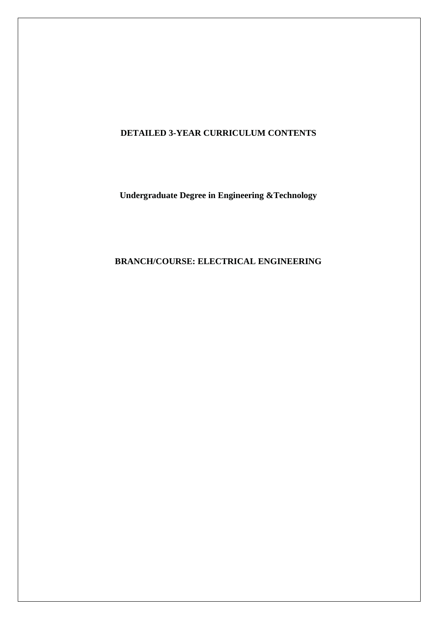### **DETAILED 3-YEAR CURRICULUM CONTENTS**

**Undergraduate Degree in Engineering &Technology**

### **BRANCH/COURSE: ELECTRICAL ENGINEERING**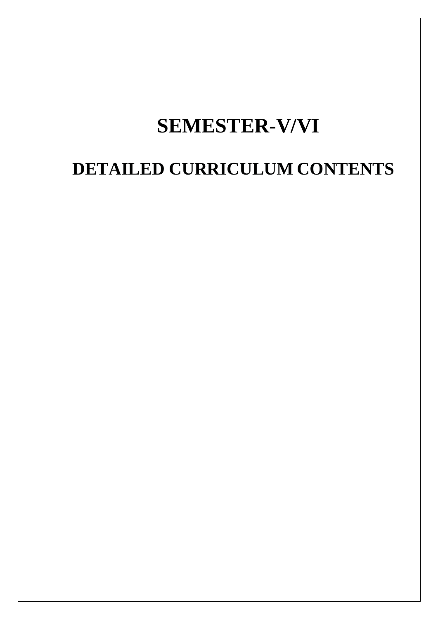# **SEMESTER-V/VI**

# **DETAILED CURRICULUM CONTENTS**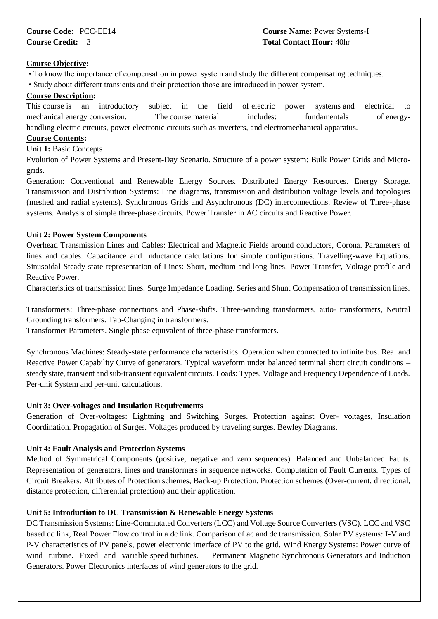#### **Course Code:** PCC-EE14 **Course Name:** Power Systems-I **Course Credit:** 3 **Total Contact Hour:** 40hr

#### **Course Objective:**

- To know the importance of compensation in power system and study the different compensating techniques.
- Study about different transients and their protection those are introduced in power system.

#### **Course Description:**

This course is an introductory subject in the field of electric power systems and electrical to mechanical energy conversion. The course material includes: fundamentals of energyhandling electric circuits, power electronic circuits such as inverters, and electromechanical apparatus.

#### **Course Contents:**

#### **Unit 1:** Basic Concepts

Evolution of Power Systems and Present-Day Scenario. Structure of a power system: Bulk Power Grids and Microgrids.

Generation: Conventional and Renewable Energy Sources. Distributed Energy Resources. Energy Storage. Transmission and Distribution Systems: Line diagrams, transmission and distribution voltage levels and topologies (meshed and radial systems). Synchronous Grids and Asynchronous (DC) interconnections. Review of Three-phase systems. Analysis of simple three-phase circuits. Power Transfer in AC circuits and Reactive Power.

#### **Unit 2: Power System Components**

Overhead Transmission Lines and Cables: Electrical and Magnetic Fields around conductors, Corona. Parameters of lines and cables. Capacitance and Inductance calculations for simple configurations. Travelling-wave Equations. Sinusoidal Steady state representation of Lines: Short, medium and long lines. Power Transfer, Voltage profile and Reactive Power.

Characteristics of transmission lines. Surge Impedance Loading. Series and Shunt Compensation of transmission lines.

Transformers: Three-phase connections and Phase-shifts. Three-winding transformers, auto- transformers, Neutral Grounding transformers. Tap-Changing in transformers.

Transformer Parameters. Single phase equivalent of three-phase transformers.

Synchronous Machines: Steady-state performance characteristics. Operation when connected to infinite bus. Real and Reactive Power Capability Curve of generators. Typical waveform under balanced terminal short circuit conditions – steady state, transient and sub-transient equivalent circuits. Loads: Types, Voltage and Frequency Dependence of Loads. Per-unit System and per-unit calculations.

#### **Unit 3: Over-voltages and Insulation Requirements**

Generation of Over-voltages: Lightning and Switching Surges. Protection against Over- voltages, Insulation Coordination. Propagation of Surges. Voltages produced by traveling surges. Bewley Diagrams.

#### **Unit 4: Fault Analysis and Protection Systems**

Method of Symmetrical Components (positive, negative and zero sequences). Balanced and Unbalanced Faults. Representation of generators, lines and transformers in sequence networks. Computation of Fault Currents. Types of Circuit Breakers. Attributes of Protection schemes, Back-up Protection. Protection schemes (Over-current, directional, distance protection, differential protection) and their application.

#### **Unit 5: Introduction to DC Transmission & Renewable Energy Systems**

DC Transmission Systems: Line-Commutated Converters (LCC) and Voltage Source Converters (VSC). LCC and VSC based dc link, Real Power Flow control in a dc link. Comparison of ac and dc transmission. Solar PV systems: I-V and P-V characteristics of PV panels, power electronic interface of PV to the grid. Wind Energy Systems: Power curve of wind turbine. Fixed and variable speed turbines. Permanent Magnetic Synchronous Generators and Induction Generators. Power Electronics interfaces of wind generators to the grid.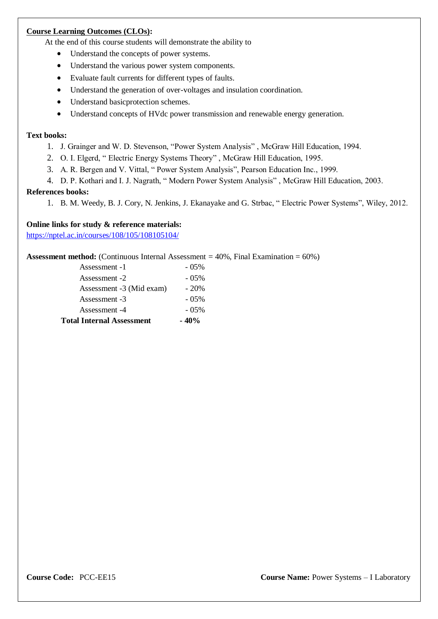#### **Course Learning Outcomes (CLOs):**

At the end of this course students will demonstrate the ability to

- Understand the concepts of power systems.
- Understand the various power system components.
- Evaluate fault currents for different types of faults.
- Understand the generation of over-voltages and insulation coordination.
- Understand basic protection schemes.
- Understand concepts of HVdc power transmission and renewable energy generation.

#### **Text books:**

- 1. J. Grainger and W. D. Stevenson, "Power System Analysis" , McGraw Hill Education, 1994.
- 2. O. I. Elgerd, " Electric Energy Systems Theory" , McGraw Hill Education, 1995.
- 3. A. R. Bergen and V. Vittal, " Power System Analysis", Pearson Education Inc., 1999.
- 4. D. P. Kothari and I. J. Nagrath, " Modern Power System Analysis" , McGraw Hill Education, 2003.

#### **References books:**

1. B. M. Weedy, B. J. Cory, N. Jenkins, J. Ekanayake and G. Strbac, " Electric Power Systems", Wiley, 2012.

#### **Online links for study & reference materials:**

<https://nptel.ac.in/courses/108/105/108105104/>

**Assessment method:** (Continuous Internal Assessment = 40%, Final Examination = 60%)

| <b>Total Internal Assessment</b> | $-40%$   |
|----------------------------------|----------|
| Assessment -4                    | $-0.5\%$ |
| Assessment -3                    | $-0.5\%$ |
| Assessment -3 (Mid exam)         | $-20%$   |
| Assessment -2                    | $-0.5\%$ |
| Assessment -1                    | $-0.5\%$ |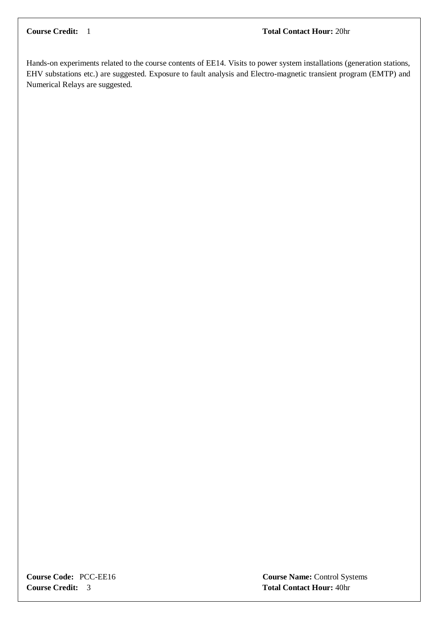Hands-on experiments related to the course contents of EE14. Visits to power system installations (generation stations, EHV substations etc.) are suggested. Exposure to fault analysis and Electro-magnetic transient program (EMTP) and Numerical Relays are suggested.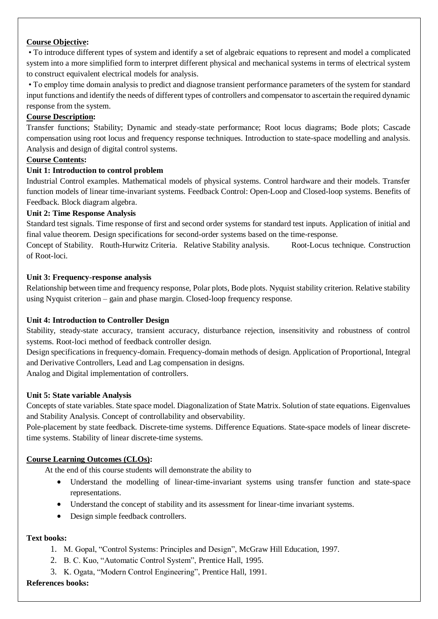#### **Course Objective:**

• To introduce different types of system and identify a set of algebraic equations to represent and model a complicated system into a more simplified form to interpret different physical and mechanical systems in terms of electrical system to construct equivalent electrical models for analysis.

• To employ time domain analysis to predict and diagnose transient performance parameters of the system for standard input functions and identify the needs of different types of controllers and compensator to ascertain the required dynamic response from the system.

#### **Course Description:**

Transfer functions; Stability; Dynamic and steady-state performance; Root locus diagrams; Bode plots; Cascade compensation using root locus and frequency response techniques. Introduction to state-space modelling and analysis. Analysis and design of digital control systems.

#### **Course Contents:**

#### **Unit 1: Introduction to control problem**

Industrial Control examples. Mathematical models of physical systems. Control hardware and their models. Transfer function models of linear time-invariant systems. Feedback Control: Open-Loop and Closed-loop systems. Benefits of Feedback. Block diagram algebra.

#### **Unit 2: Time Response Analysis**

Standard test signals. Time response of first and second order systems for standard test inputs. Application of initial and final value theorem. Design specifications for second-order systems based on the time-response.

Concept of Stability. Routh-Hurwitz Criteria. Relative Stability analysis. Root-Locus technique. Construction of Root-loci.

#### **Unit 3: Frequency-response analysis**

Relationship between time and frequency response, Polar plots, Bode plots. Nyquist stability criterion. Relative stability using Nyquist criterion – gain and phase margin. Closed-loop frequency response.

#### **Unit 4: Introduction to Controller Design**

Stability, steady-state accuracy, transient accuracy, disturbance rejection, insensitivity and robustness of control systems. Root-loci method of feedback controller design.

Design specifications in frequency-domain. Frequency-domain methods of design. Application of Proportional, Integral and Derivative Controllers, Lead and Lag compensation in designs.

Analog and Digital implementation of controllers.

#### **Unit 5: State variable Analysis**

Concepts of state variables. State space model. Diagonalization of State Matrix. Solution of state equations. Eigenvalues and Stability Analysis. Concept of controllability and observability.

Pole-placement by state feedback. Discrete-time systems. Difference Equations. State-space models of linear discretetime systems. Stability of linear discrete-time systems.

#### **Course Learning Outcomes (CLOs):**

At the end of this course students will demonstrate the ability to

- Understand the modelling of linear-time-invariant systems using transfer function and state-space representations.
- Understand the concept of stability and its assessment for linear-time invariant systems.
- Design simple feedback controllers.

#### **Text books:**

- 1. M. Gopal, "Control Systems: Principles and Design", McGraw Hill Education, 1997.
- 2. B. C. Kuo, "Automatic Control System", Prentice Hall, 1995.
- 3. K. Ogata, "Modern Control Engineering", Prentice Hall, 1991.

#### **References books:**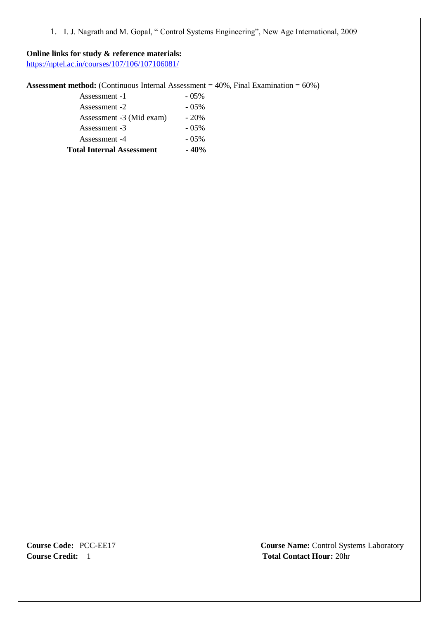1. I. J. Nagrath and M. Gopal, " Control Systems Engineering", New Age International, 2009

#### **Online links for study & reference materials:**

<https://nptel.ac.in/courses/107/106/107106081/>

**Assessment method:** (Continuous Internal Assessment = 40%, Final Examination = 60%)

| <b>Total Internal Assessment</b> | $-40%$   |
|----------------------------------|----------|
| Assessment -4                    | $-0.5\%$ |
| Assessment -3                    | $-0.5\%$ |
| Assessment -3 (Mid exam)         | $-20\%$  |
| Assessment -2                    | $-0.5\%$ |
| Assessment -1                    | $-0.5\%$ |
|                                  |          |

**Course Credit:** 1 **Total Contact Hour:** 20hr

**Course Code:** PCC-EE17 **Course Name:** Control Systems Laboratory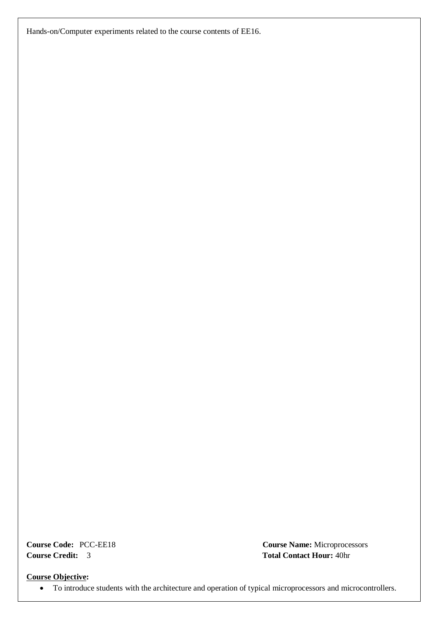Hands-on/Computer experiments related to the course contents of EE16.

**Course Credit:** 3 **Total Contact Hour:** 40hr

**Course Code:** PCC-EE18 **Course Name:** Microprocessors

**Course Objective:**

To introduce students with the architecture and operation of typical microprocessors and microcontrollers.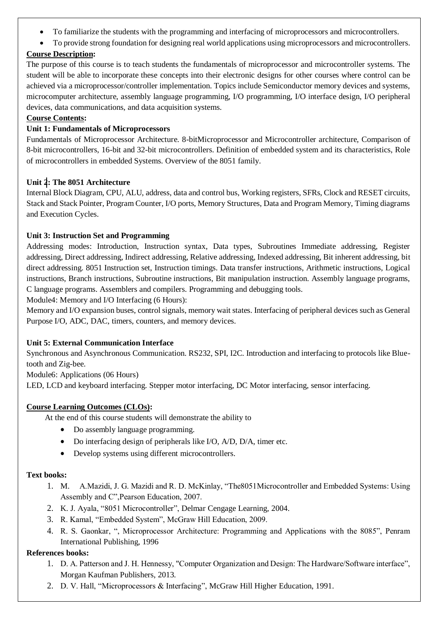- To familiarize the students with the programming and interfacing of microprocessors and microcontrollers.
- To provide strong foundation for designing real world applications using microprocessors and microcontrollers.

#### **Course Description:**

The purpose of this course is to teach students the fundamentals of microprocessor and microcontroller systems. The student will be able to incorporate these concepts into their electronic designs for other courses where control can be achieved via a microprocessor/controller implementation. Topics include Semiconductor memory devices and systems, microcomputer architecture, assembly language programming, I/O programming, I/O interface design, I/O peripheral devices, data communications, and data acquisition systems.

#### **Course Contents:**

#### **Unit 1: Fundamentals of Microprocessors**

Fundamentals of Microprocessor Architecture. 8-bitMicroprocessor and Microcontroller architecture, Comparison of 8-bit microcontrollers, 16-bit and 32-bit microcontrollers. Definition of embedded system and its characteristics, Role of microcontrollers in embedded Systems. Overview of the 8051 family.

#### **Unit 2: The 8051 Architecture**

Internal Block Diagram, CPU, ALU, address, data and control bus, Working registers, SFRs, Clock and RESET circuits, Stack and Stack Pointer, Program Counter, I/O ports, Memory Structures, Data and Program Memory, Timing diagrams and Execution Cycles.

#### **Unit 3: Instruction Set and Programming**

Addressing modes: Introduction, Instruction syntax, Data types, Subroutines Immediate addressing, Register addressing, Direct addressing, Indirect addressing, Relative addressing, Indexed addressing, Bit inherent addressing, bit direct addressing. 8051 Instruction set, Instruction timings. Data transfer instructions, Arithmetic instructions, Logical instructions, Branch instructions, Subroutine instructions, Bit manipulation instruction. Assembly language programs, C language programs. Assemblers and compilers. Programming and debugging tools.

Module4: Memory and I/O Interfacing (6 Hours):

Memory and I/O expansion buses, control signals, memory wait states. Interfacing of peripheral devices such as General Purpose I/O, ADC, DAC, timers, counters, and memory devices.

#### **Unit 5: External Communication Interface**

Synchronous and Asynchronous Communication. RS232, SPI, I2C. Introduction and interfacing to protocols like Bluetooth and Zig-bee.

Module6: Applications (06 Hours)

LED, LCD and keyboard interfacing. Stepper motor interfacing, DC Motor interfacing, sensor interfacing.

#### **Course Learning Outcomes (CLOs):**

At the end of this course students will demonstrate the ability to

- Do assembly language programming.
- Do interfacing design of peripherals like I/O, A/D, D/A, timer etc.
- Develop systems using different microcontrollers.

#### **Text books:**

- 1. M. A.Mazidi, J. G. Mazidi and R. D. McKinlay, "The8051Microcontroller and Embedded Systems: Using Assembly and C",Pearson Education, 2007.
- 2. K. J. Ayala, "8051 Microcontroller", Delmar Cengage Learning, 2004.
- 3. R. Kamal, "Embedded System", McGraw Hill Education, 2009.
- 4. R. S. Gaonkar, ", Microprocessor Architecture: Programming and Applications with the 8085", Penram International Publishing, 1996

#### **References books:**

- 1. D. A. Patterson and J. H. Hennessy, "Computer Organization and Design: The Hardware/Software interface", Morgan Kaufman Publishers, 2013.
- 2. D. V. Hall, "Microprocessors & Interfacing", McGraw Hill Higher Education, 1991.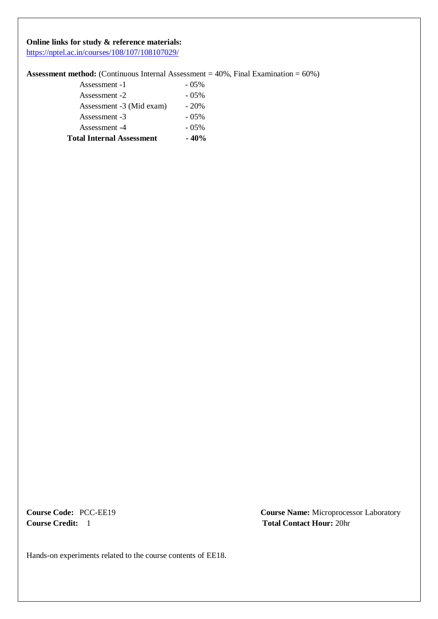#### **Online links for study & reference materials:**

<https://nptel.ac.in/courses/108/107/108107029/>

#### **Assessment method:** (Continuous Internal Assessment = 40%, Final Examination = 60%)

| <b>Total Internal Assessment</b> | $-40%$   |
|----------------------------------|----------|
| Assessment -4                    | $-0.5\%$ |
| Assessment -3                    | $-0.5\%$ |
| Assessment -3 (Mid exam)         | $-20\%$  |
| Assessment -2                    | $-0.5\%$ |
| Assessment -1                    | $-0.5\%$ |

**Course Code:** PCC-EE19 **Course Name:** Microprocessor Laboratory **Course Credit:** 1 **Total Contact Hour:** 20hr

Hands-on experiments related to the course contents of EE18.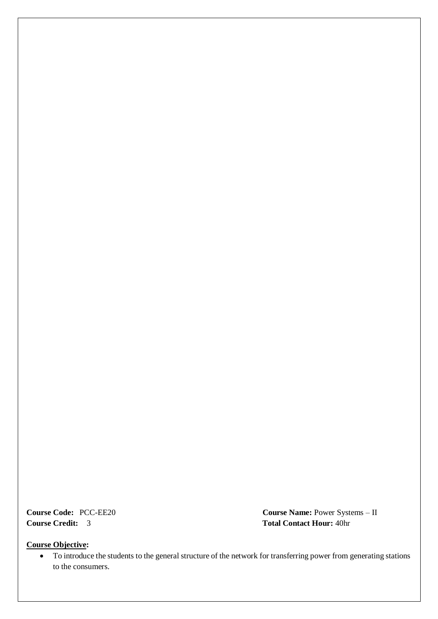**Course Code:** PCC-EE20 **Course Name:** Power Systems – II **Course Credit:** 3 **Total Contact Hour:** 40hr

#### **Course Objective:**

 To introduce the students to the general structure of the network for transferring power from generating stations to the consumers.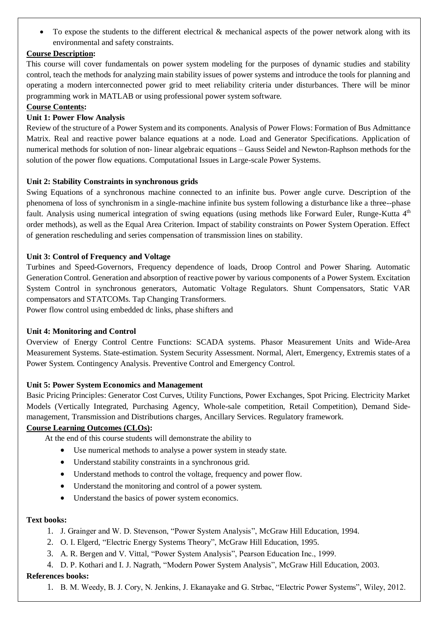To expose the students to the different electrical & mechanical aspects of the power network along with its environmental and safety constraints.

#### **Course Description:**

This course will cover fundamentals on power system modeling for the purposes of dynamic studies and stability control, teach the methods for analyzing main stability issues of power systems and introduce the tools for planning and operating a modern interconnected power grid to meet reliability criteria under disturbances. There will be minor programming work in MATLAB or using professional power system software.

#### **Course Contents:**

#### **Unit 1: Power Flow Analysis**

Review of the structure of a Power System and its components. Analysis of Power Flows: Formation of Bus Admittance Matrix. Real and reactive power balance equations at a node. Load and Generator Specifications. Application of numerical methods for solution of non- linear algebraic equations – Gauss Seidel and Newton-Raphson methods for the solution of the power flow equations. Computational Issues in Large-scale Power Systems.

#### **Unit 2: Stability Constraints in synchronous grids**

Swing Equations of a synchronous machine connected to an infinite bus. Power angle curve. Description of the phenomena of loss of synchronism in a single-machine infinite bus system following a disturbance like a three--phase fault. Analysis using numerical integration of swing equations (using methods like Forward Euler, Runge-Kutta 4<sup>th</sup> order methods), as well as the Equal Area Criterion. Impact of stability constraints on Power System Operation. Effect of generation rescheduling and series compensation of transmission lines on stability.

#### **Unit 3: Control of Frequency and Voltage**

Turbines and Speed-Governors, Frequency dependence of loads, Droop Control and Power Sharing. Automatic Generation Control. Generation and absorption of reactive power by various components of a Power System. Excitation System Control in synchronous generators, Automatic Voltage Regulators. Shunt Compensators, Static VAR compensators and STATCOMs. Tap Changing Transformers.

Power flow control using embedded dc links, phase shifters and

#### **Unit 4: Monitoring and Control**

Overview of Energy Control Centre Functions: SCADA systems. Phasor Measurement Units and Wide-Area Measurement Systems. State-estimation. System Security Assessment. Normal, Alert, Emergency, Extremis states of a Power System. Contingency Analysis. Preventive Control and Emergency Control.

#### **Unit 5: Power System Economics and Management**

Basic Pricing Principles: Generator Cost Curves, Utility Functions, Power Exchanges, Spot Pricing. Electricity Market Models (Vertically Integrated, Purchasing Agency, Whole-sale competition, Retail Competition), Demand Sidemanagement, Transmission and Distributions charges, Ancillary Services. Regulatory framework.

#### **Course Learning Outcomes (CLOs):**

At the end of this course students will demonstrate the ability to

- Use numerical methods to analyse a power system in steady state.
- Understand stability constraints in a synchronous grid.
- Understand methods to control the voltage, frequency and power flow.
- Understand the monitoring and control of a power system.
- Understand the basics of power system economics.

#### **Text books:**

- 1. J. Grainger and W. D. Stevenson, "Power System Analysis", McGraw Hill Education, 1994.
- 2. O. I. Elgerd, "Electric Energy Systems Theory", McGraw Hill Education, 1995.
- 3. A. R. Bergen and V. Vittal, "Power System Analysis", Pearson Education Inc., 1999.
- 4. D. P. Kothari and I. J. Nagrath, "Modern Power System Analysis", McGraw Hill Education, 2003.

#### **References books:**

1. B. M. Weedy, B. J. Cory, N. Jenkins, J. Ekanayake and G. Strbac, "Electric Power Systems", Wiley, 2012.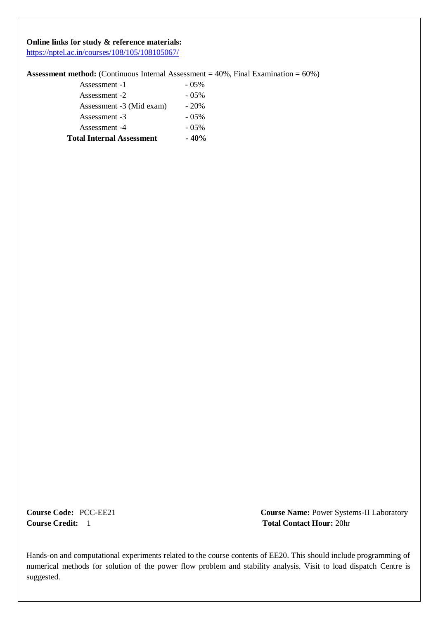#### **Online links for study & reference materials:**

<https://nptel.ac.in/courses/108/105/108105067/>

#### **Assessment method:** (Continuous Internal Assessment = 40%, Final Examination = 60%)

| <b>Total Internal Assessment</b> | $-40%$   |
|----------------------------------|----------|
| Assessment -4                    | $-0.5\%$ |
| Assessment -3                    | $-0.5\%$ |
| Assessment -3 (Mid exam)         | $-20\%$  |
| Assessment -2                    | $-0.5\%$ |
| Assessment -1                    | $-0.5\%$ |

**Course Code:** PCC-EE21 **Course Name:** Power Systems-II Laboratory **Course Credit:** 1 **Total Contact Hour:** 20hr

Hands-on and computational experiments related to the course contents of EE20. This should include programming of numerical methods for solution of the power flow problem and stability analysis. Visit to load dispatch Centre is suggested.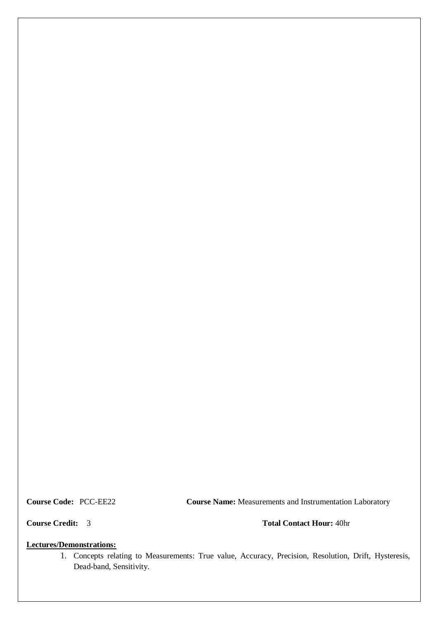**Course Code:** PCC-EE22 **Course Name:** Measurements and Instrumentation Laboratory

**Course Credit:** 3 **Total Contact Hour:** 40hr

#### **Lectures/Demonstrations:**

1. Concepts relating to Measurements: True value, Accuracy, Precision, Resolution, Drift, Hysteresis, Dead-band, Sensitivity.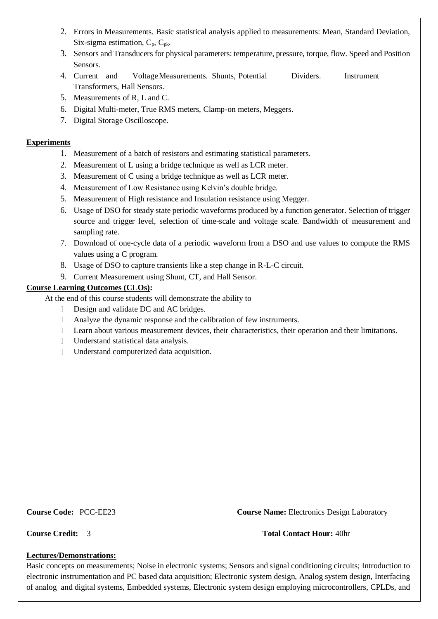- 2. Errors in Measurements. Basic statistical analysis applied to measurements: Mean, Standard Deviation, Six-sigma estimation,  $C_p$ ,  $C_{pk}$ .
- 3. Sensors and Transducers for physical parameters: temperature, pressure, torque, flow. Speed and Position Sensors.
- 4. Current and VoltageMeasurements. Shunts, Potential Dividers. Instrument Transformers, Hall Sensors.
- 5. Measurements of R, L and C.
- 6. Digital Multi-meter, True RMS meters, Clamp-on meters, Meggers.
- 7. Digital Storage Oscilloscope.

#### **Experiments**

- 1. Measurement of a batch of resistors and estimating statistical parameters.
- 2. Measurement of L using a bridge technique as well as LCR meter.
- 3. Measurement of C using a bridge technique as well as LCR meter.
- 4. Measurement of Low Resistance using Kelvin's double bridge.
- 5. Measurement of High resistance and Insulation resistance using Megger.
- 6. Usage of DSO for steady state periodic waveforms produced by a function generator. Selection of trigger source and trigger level, selection of time-scale and voltage scale. Bandwidth of measurement and sampling rate.
- 7. Download of one-cycle data of a periodic waveform from a DSO and use values to compute the RMS values using a C program.
- 8. Usage of DSO to capture transients like a step change in R-L-C circuit.
- 9. Current Measurement using Shunt, CT, and Hall Sensor.

### **Course Learning Outcomes (CLOs):**

At the end of this course students will demonstrate the ability to

- $\Box$ Design and validate DC and AC bridges.
- $\mathbb{R}$ Analyze the dynamic response and the calibration of few instruments.
- Learn about various measurement devices, their characteristics, their operation and their limitations.  $\mathbb{R}$
- $\overline{\phantom{a}}$ Understand statistical data analysis.
- $\Box$ Understand computerized data acquisition.

**Course Code:** PCC-EE23 **Course Name:** Electronics Design Laboratory

#### **Course Credit:** 3 **Total Contact Hour:** 40hr

#### **Lectures/Demonstrations:**

Basic concepts on measurements; Noise in electronic systems; Sensors and signal conditioning circuits; Introduction to electronic instrumentation and PC based data acquisition; Electronic system design, Analog system design, Interfacing of analog and digital systems, Embedded systems, Electronic system design employing microcontrollers, CPLDs, and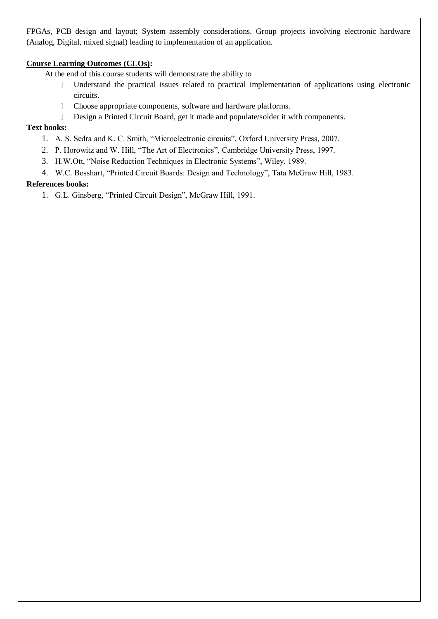FPGAs, PCB design and layout; System assembly considerations. Group projects involving electronic hardware (Analog, Digital, mixed signal) leading to implementation of an application.

#### **Course Learning Outcomes (CLOs):**

At the end of this course students will demonstrate the ability to

- Understand the practical issues related to practical implementation of applications using electronic  $\hfill\Box$ circuits.
- Choose appropriate components, software and hardware platforms.  $\hfill\Box$
- $\hfill\Box$ Design a Printed Circuit Board, get it made and populate/solder it with components.

#### **Text books:**

- 1. A. S. Sedra and K. C. Smith, "Microelectronic circuits", Oxford University Press, 2007.
- 2. P. Horowitz and W. Hill, "The Art of Electronics", Cambridge University Press, 1997.
- 3. H.W.Ott, "Noise Reduction Techniques in Electronic Systems", Wiley, 1989.
- 4. W.C. Bosshart, "Printed Circuit Boards: Design and Technology", Tata McGraw Hill, 1983.

#### **References books:**

1. G.L. Ginsberg, "Printed Circuit Design", McGraw Hill, 1991.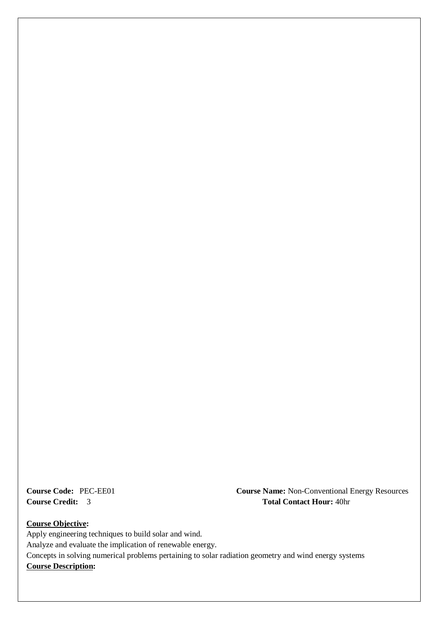**Course Code:** PEC-EE01 **Course Name:** Non-Conventional Energy Resources **Course Credit:** 3 **Total Contact Hour:** 40hr

**Course Objective:** Apply engineering techniques to build solar and wind. Analyze and evaluate the implication of renewable energy. Concepts in solving numerical problems pertaining to solar radiation geometry and wind energy systems **Course Description:**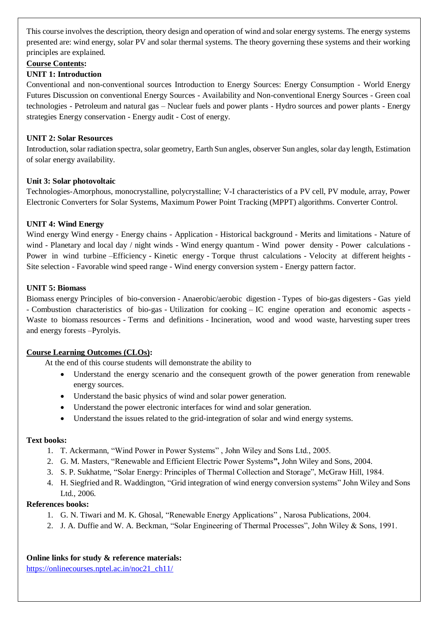This course involves the description, theory design and operation of wind and solar energy systems. The energy systems presented are: wind energy, solar PV and solar thermal systems. The theory governing these systems and their working principles are explained.

#### **Course Contents:**

#### **UNIT 1: Introduction**

Conventional and non-conventional sources Introduction to Energy Sources: Energy Consumption - World Energy Futures Discussion on conventional Energy Sources - Availability and Non-conventional Energy Sources - Green coal technologies - Petroleum and natural gas – Nuclear fuels and power plants - Hydro sources and power plants - Energy strategies Energy conservation - Energy audit - Cost of energy.

#### **UNIT 2: Solar Resources**

Introduction, solar radiation spectra, solar geometry, Earth Sun angles, observer Sun angles, solar day length, Estimation of solar energy availability.

#### **Unit 3: Solar photovoltaic**

Technologies-Amorphous, monocrystalline, polycrystalline; V-I characteristics of a PV cell, PV module, array, Power Electronic Converters for Solar Systems, Maximum Power Point Tracking (MPPT) algorithms. Converter Control.

#### **UNIT 4: Wind Energy**

Wind energy Wind energy - Energy chains - Application - Historical background - Merits and limitations - Nature of wind - Planetary and local day / night winds - Wind energy quantum - Wind power density - Power calculations -Power in wind turbine –Efficiency - Kinetic energy - Torque thrust calculations - Velocity at different heights -Site selection - Favorable wind speed range - Wind energy conversion system - Energy pattern factor.

#### **UNIT 5: Biomass**

Biomass energy Principles of bio-conversion - Anaerobic/aerobic digestion - Types of bio-gas digesters - Gas yield - Combustion characteristics of bio-gas - Utilization for cooking – IC engine operation and economic aspects - Waste to biomass resources - Terms and definitions - Incineration, wood and wood waste, harvesting super trees and energy forests –Pyrolyis.

#### **Course Learning Outcomes (CLOs):**

At the end of this course students will demonstrate the ability to

- Understand the energy scenario and the consequent growth of the power generation from renewable energy sources.
- Understand the basic physics of wind and solar power generation.
- Understand the power electronic interfaces for wind and solar generation.
- Understand the issues related to the grid-integration of solar and wind energy systems.

#### **Text books:**

- 1. T. Ackermann, "Wind Power in Power Systems" , John Wiley and Sons Ltd., 2005.
- 2. G. M. Masters, "Renewable and Efficient Electric Power Systems**",** John Wiley and Sons, 2004.
- 3. S. P. Sukhatme, "Solar Energy: Principles of Thermal Collection and Storage", McGraw Hill, 1984.
- 4. H. Siegfried and R. Waddington, "Grid integration of wind energy conversion systems" John Wiley and Sons Ltd., 2006.

#### **References books:**

- 1. G. N. Tiwari and M. K. Ghosal, "Renewable Energy Applications" , Narosa Publications, 2004.
- 2. J. A. Duffie and W. A. Beckman, "Solar Engineering of Thermal Processes", John Wiley & Sons, 1991.

#### **Online links for study & reference materials:**

[https://onlinecourses.nptel.ac.in/noc21\\_ch11/](https://onlinecourses.nptel.ac.in/noc21_ch11/)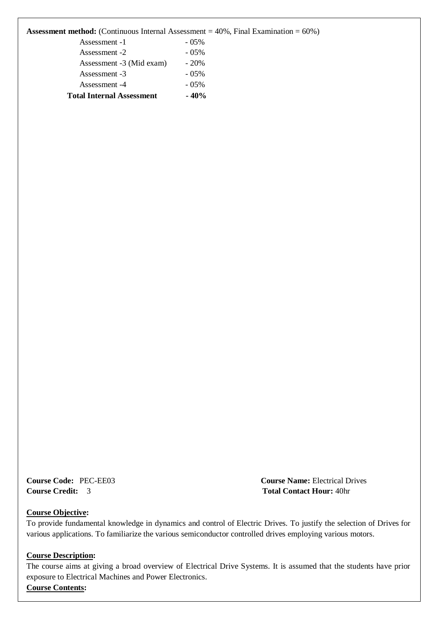| <b>Assessment method:</b> (Continuous Internal Assessment $= 40\%$ , Final Examination $= 60\%$ ) |  |  |  |  |  |  |  |  |
|---------------------------------------------------------------------------------------------------|--|--|--|--|--|--|--|--|
|---------------------------------------------------------------------------------------------------|--|--|--|--|--|--|--|--|

| <b>Total Internal Assessment</b>                                   | $-40%$   |
|--------------------------------------------------------------------|----------|
| Assessment -4                                                      | $-0.5\%$ |
| Assessment -3                                                      | $-05\%$  |
| Assessment -3 (Mid exam)                                           | $-20%$   |
| Assessment -2                                                      | $-05\%$  |
| Assessment -1                                                      | $-05\%$  |
| 111000001110110 1110011000 (COMMINGORD 1111011101 1110000011110111 |          |

**Course Code:** PEC-EE03 **Course Name:** Electrical Drives **Course Credit:** 3 **Total Contact Hour:** 40hr

#### **Course Objective:**

To provide fundamental knowledge in dynamics and control of Electric Drives. To justify the selection of Drives for various applications. To familiarize the various semiconductor controlled drives employing various motors.

#### **Course Description:**

The course aims at giving a broad overview of Electrical Drive Systems. It is assumed that the students have prior exposure to Electrical Machines and Power Electronics. **Course Contents:**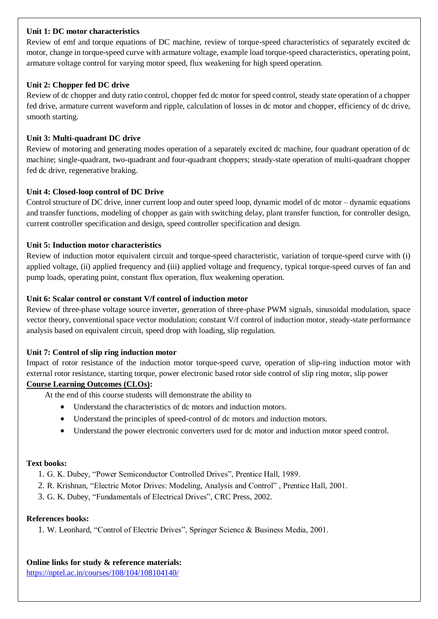#### **Unit 1: DC motor characteristics**

Review of emf and torque equations of DC machine, review of torque-speed characteristics of separately excited dc motor, change in torque-speed curve with armature voltage, example load torque-speed characteristics, operating point, armature voltage control for varying motor speed, flux weakening for high speed operation.

#### **Unit 2: Chopper fed DC drive**

Review of dc chopper and duty ratio control, chopper fed dc motor for speed control, steady state operation of a chopper fed drive, armature current waveform and ripple, calculation of losses in dc motor and chopper, efficiency of dc drive, smooth starting.

#### **Unit 3: Multi-quadrant DC drive**

Review of motoring and generating modes operation of a separately excited dc machine, four quadrant operation of dc machine; single-quadrant, two-quadrant and four-quadrant choppers; steady-state operation of multi-quadrant chopper fed dc drive, regenerative braking.

#### **Unit 4: Closed-loop control of DC Drive**

Control structure of DC drive, inner current loop and outer speed loop, dynamic model of dc motor – dynamic equations and transfer functions, modeling of chopper as gain with switching delay, plant transfer function, for controller design, current controller specification and design, speed controller specification and design.

#### **Unit 5: Induction motor characteristics**

Review of induction motor equivalent circuit and torque-speed characteristic, variation of torque-speed curve with (i) applied voltage, (ii) applied frequency and (iii) applied voltage and frequency, typical torque-speed curves of fan and pump loads, operating point, constant flux operation, flux weakening operation.

#### **Unit 6: Scalar control or constant V/f control of induction motor**

Review of three-phase voltage source inverter, generation of three-phase PWM signals, sinusoidal modulation, space vector theory, conventional space vector modulation; constant V/f control of induction motor, steady-state performance analysis based on equivalent circuit, speed drop with loading, slip regulation.

#### **Unit 7: Control of slip ring induction motor**

Impact of rotor resistance of the induction motor torque-speed curve, operation of slip-ring induction motor with external rotor resistance, starting torque, power electronic based rotor side control of slip ring motor, slip power

#### **Course Learning Outcomes (CLOs):**

At the end of this course students will demonstrate the ability to

- Understand the characteristics of dc motors and induction motors.
- Understand the principles of speed-control of dc motors and induction motors.
- Understand the power electronic converters used for dc motor and induction motor speed control.

#### **Text books:**

- 1. G. K. Dubey, "Power Semiconductor Controlled Drives", Prentice Hall, 1989.
- 2. R. Krishnan, "Electric Motor Drives: Modeling, Analysis and Control" , Prentice Hall, 2001.
- 3. G. K. Dubey, "Fundamentals of Electrical Drives", CRC Press, 2002.

#### **References books:**

1. W. Leonhard, "Control of Electric Drives", Springer Science & Business Media, 2001.

#### **Online links for study & reference materials:**

<https://nptel.ac.in/courses/108/104/108104140/>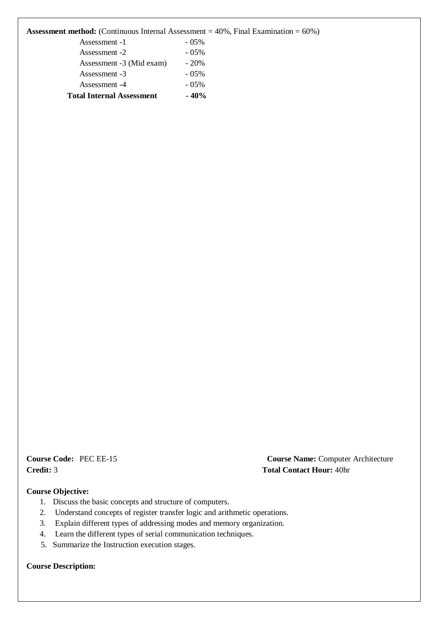| <b>Assessment method:</b> (Continuous Internal Assessment $= 40\%$ , Final Examination $= 60\%$ ) |  |  |  |  |  |  |  |  |
|---------------------------------------------------------------------------------------------------|--|--|--|--|--|--|--|--|
|---------------------------------------------------------------------------------------------------|--|--|--|--|--|--|--|--|

| <b>Total Internal Assessment</b>                                 | $-40%$   |
|------------------------------------------------------------------|----------|
| Assessment -4                                                    | $-0.5\%$ |
| Assessment -3                                                    | $-05\%$  |
| Assessment -3 (Mid exam)                                         | $-20%$   |
| Assessment -2                                                    | $-05\%$  |
| Assessment -1                                                    | $-05\%$  |
| <b>Expressingly incredibly</b> (Continuous internat respessingly |          |

**Credit:** 3 **Total Contact Hour:** 40hr

**Course Code:** PEC EE-15 **Course Name:** Computer Architecture

#### **Course Objective:**

- 1. Discuss the basic concepts and structure of computers.
- 2. Understand concepts of register transfer logic and arithmetic operations.
- 3. Explain different types of addressing modes and memory organization.
- 4. Learn the different types of serial communication techniques.
- 5. Summarize the Instruction execution stages.

**Course Description:**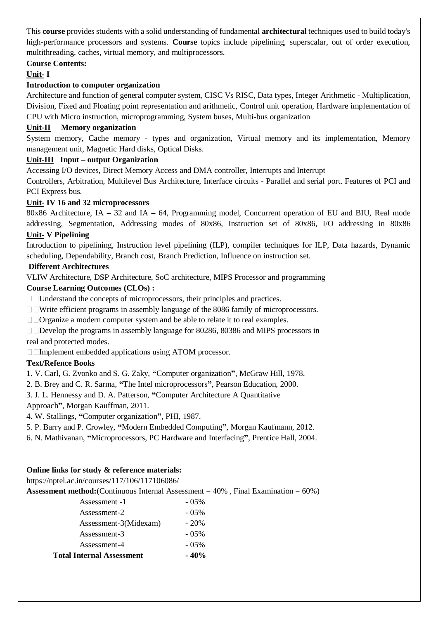This **course** provides students with a solid understanding of fundamental **architectural** techniques used to build today's high-performance processors and systems. **Course** topics include pipelining, superscalar, out of order execution, multithreading, caches, virtual memory, and multiprocessors.

#### **Course Contents:**

#### **Unit- I**

#### **Introduction to computer organization**

Architecture and function of general computer system, CISC Vs RISC, Data types, Integer Arithmetic - Multiplication, Division, Fixed and Floating point representation and arithmetic, Control unit operation, Hardware implementation of CPU with Micro instruction, microprogramming, System buses, Multi-bus organization

#### **Unit-II Memory organization**

System memory, Cache memory - types and organization, Virtual memory and its implementation, Memory management unit, Magnetic Hard disks, Optical Disks.

#### **Unit-III Input – output Organization**

Accessing I/O devices, Direct Memory Access and DMA controller, Interrupts and Interrupt

Controllers, Arbitration, Multilevel Bus Architecture, Interface circuits - Parallel and serial port. Features of PCI and PCI Express bus.

#### **Unit- IV 16 and 32 microprocessors**

80x86 Architecture, IA **–** 32 and IA **–** 64, Programming model, Concurrent operation of EU and BIU, Real mode addressing, Segmentation, Addressing modes of 80x86, Instruction set of 80x86, I/O addressing in 80x86

#### **Unit- V Pipelining**

Introduction to pipelining, Instruction level pipelining (ILP), compiler techniques for ILP, Data hazards, Dynamic scheduling, Dependability, Branch cost, Branch Prediction, Influence on instruction set.

#### **Different Architectures**

VLIW Architecture, DSP Architecture, SoC architecture, MIPS Processor and programming

#### **Course Learning Outcomes (CLOs) :**

□□Understand the concepts of microprocessors, their principles and practices.

□ ■ Write efficient programs in assembly language of the 8086 family of microprocessors.

□□Organize a modern computer system and be able to relate it to real examples.

Develop the programs in assembly language for 80286, 80386 and MIPS processors in real and protected modes.

□□Implement embedded applications using ATOM processor.

#### **Text/Refence Books**

1. V. Carl, G. Zvonko and S. G. Zaky, **"**Computer organization**"**, McGraw Hill, 1978.

2. B. Brey and C. R. Sarma, **"**The Intel microprocessors**"**, Pearson Education, 2000.

3. J. L. Hennessy and D. A. Patterson, **"**Computer Architecture A Quantitative

Approach**"**, Morgan Kauffman, 2011.

4. W. Stallings, **"**Computer organization**"**, PHI, 1987.

5. P. Barry and P. Crowley, **"**Modern Embedded Computing**"**, Morgan Kaufmann, 2012.

6. N. Mathivanan, **"**Microprocessors, PC Hardware and Interfacing**"**, Prentice Hall, 2004.

#### **Online links for study & reference materials:**

https://nptel.ac.in/courses/117/106/117106086/

**Assessment method:**(Continuous Internal Assessment = 40% , Final Examination = 60%)

| <b>Total Internal Assessment</b> | $-40%$   |
|----------------------------------|----------|
| Assessment-4                     | $-0.5\%$ |
| Assessment-3                     | $-0.5\%$ |
| Assessment-3(Midexam)            | $-20\%$  |
| Assessment-2                     | $-0.5\%$ |
| Assessment -1                    | $-0.5\%$ |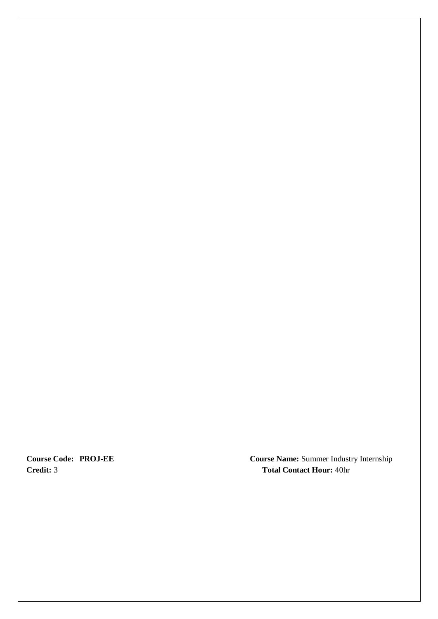**Course Code: PROJ Credit:**

**Course Name:** Summer Industry Internship 3 **Total Contact Hour:** 40hr